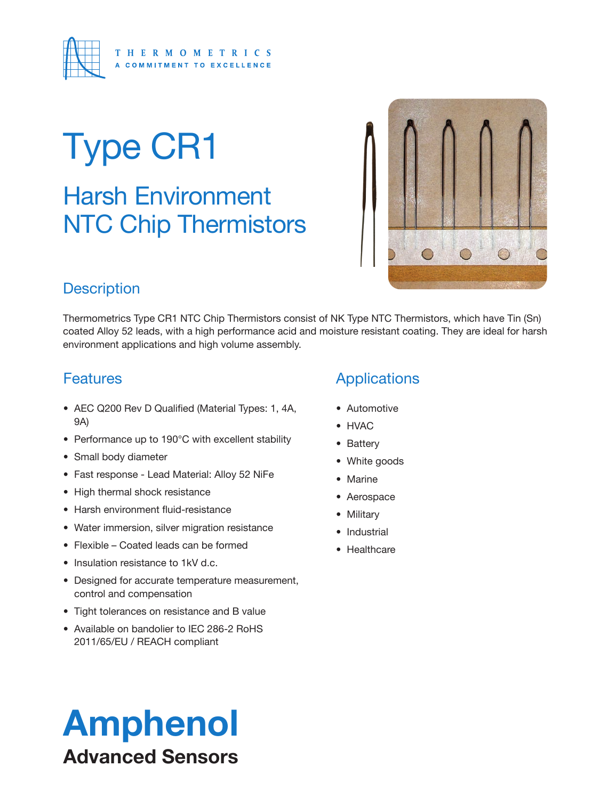

# Type CR1

### Harsh Environment NTC Chip Thermistors



#### **Description**

Thermometrics Type CR1 NTC Chip Thermistors consist of NK Type NTC Thermistors, which have Tin (Sn) coated Alloy 52 leads, with a high performance acid and moisture resistant coating. They are ideal for harsh environment applications and high volume assembly.

#### **Features**

- AEC Q200 Rev D Qualified (Material Types: 1, 4A, 9A)
- Performance up to 190°C with excellent stability
- Small body diameter
- Fast response Lead Material: Alloy 52 NiFe
- High thermal shock resistance
- Harsh environment fluid-resistance
- Water immersion, silver migration resistance
- Flexible Coated leads can be formed
- Insulation resistance to 1kV d.c.
- Designed for accurate temperature measurement, control and compensation
- Tight tolerances on resistance and B value
- Available on bandolier to IEC 286-2 RoHS 2011/65/EU / REACH compliant

### Amphenol Advanced Sensors

#### Applications

- Automotive
- HVAC
- Battery
- White goods
- Marine
- Aerospace
- Military
- Industrial
- Healthcare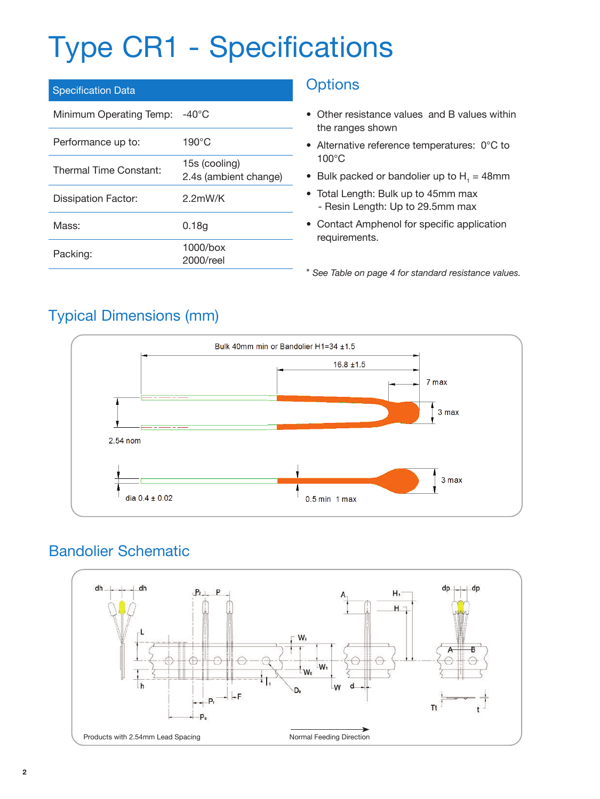## Type CR1 - Specifications

| <b>Specification Data</b> |                                        |
|---------------------------|----------------------------------------|
| Minimum Operating Temp:   | -40°C                                  |
| Performance up to:        | $190^{\circ}$ C                        |
| Thermal Time Constant:    | 15s (cooling)<br>2.4s (ambient change) |
| Dissipation Factor:       | $2.2$ mW/K                             |
| Mass:                     | 0.18q                                  |
| Packing:                  | $1000/b$ ox<br>2000/reel               |

#### **Options**

- Other resistance values and B values within the ranges shown
- Alternative reference temperatures: 0°C to 100°C
- Bulk packed or bandolier up to  $H_1 = 48$ mm
- Total Length: Bulk up to 45mm max - Resin Length: Up to 29.5mm max
- Contact Amphenol for specific application requirements.

\* *See Table on page 4 for standard resistance values.*

#### Typical Dimensions (mm)



#### Bandolier Schematic

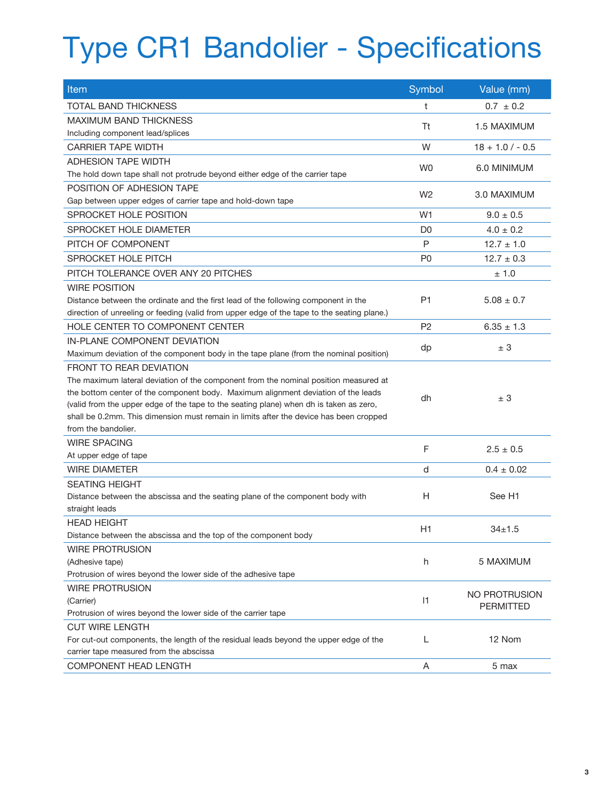## Type CR1 Bandolier - Specifications

| Item                                                                                                                    | Symbol         | Value (mm)           |
|-------------------------------------------------------------------------------------------------------------------------|----------------|----------------------|
| <b>TOTAL BAND THICKNESS</b>                                                                                             | t              | $0.7 \pm 0.2$        |
| MAXIMUM BAND THICKNESS                                                                                                  |                |                      |
| Including component lead/splices                                                                                        | Tt             | 1.5 MAXIMUM          |
| <b>CARRIER TAPE WIDTH</b>                                                                                               | W              | $18 + 1.0 / - 0.5$   |
| <b>ADHESION TAPE WIDTH</b>                                                                                              |                |                      |
| The hold down tape shall not protrude beyond either edge of the carrier tape                                            | W <sub>0</sub> | 6.0 MINIMUM          |
| POSITION OF ADHESION TAPE                                                                                               |                |                      |
| Gap between upper edges of carrier tape and hold-down tape                                                              | W <sub>2</sub> | 3.0 MAXIMUM          |
| SPROCKET HOLE POSITION                                                                                                  | W <sub>1</sub> | $9.0 \pm 0.5$        |
| SPROCKET HOLE DIAMETER                                                                                                  | D <sub>0</sub> | $4.0 \pm 0.2$        |
| PITCH OF COMPONENT                                                                                                      | P              | $12.7 \pm 1.0$       |
| SPROCKET HOLE PITCH                                                                                                     | P <sub>0</sub> | $12.7 \pm 0.3$       |
| PITCH TOLERANCE OVER ANY 20 PITCHES                                                                                     |                | ± 1.0                |
| <b>WIRE POSITION</b>                                                                                                    |                |                      |
| Distance between the ordinate and the first lead of the following component in the                                      | P <sub>1</sub> | $5.08 \pm 0.7$       |
| direction of unreeling or feeding (valid from upper edge of the tape to the seating plane.)                             |                |                      |
| HOLF CENTER TO COMPONENT CENTER                                                                                         | P <sub>2</sub> | $6.35 \pm 1.3$       |
| IN-PI ANF COMPONENT DEVIATION                                                                                           |                |                      |
|                                                                                                                         | dp             | ± 3                  |
| Maximum deviation of the component body in the tape plane (from the nominal position)<br><b>FRONT TO REAR DEVIATION</b> |                |                      |
| The maximum lateral deviation of the component from the nominal position measured at                                    |                |                      |
| the bottom center of the component body. Maximum alignment deviation of the leads                                       |                |                      |
| (valid from the upper edge of the tape to the seating plane) when dh is taken as zero,                                  | dh             | ± 3                  |
| shall be 0.2mm. This dimension must remain in limits after the device has been cropped                                  |                |                      |
| from the bandolier.                                                                                                     |                |                      |
| <b>WIRE SPACING</b>                                                                                                     |                |                      |
| At upper edge of tape                                                                                                   | F              | $2.5 \pm 0.5$        |
| <b>WIRE DIAMETER</b>                                                                                                    | d              | $0.4 \pm 0.02$       |
| <b>SEATING HEIGHT</b>                                                                                                   |                |                      |
| Distance between the abscissa and the seating plane of the component body with                                          | H              | See H1               |
| straight leads                                                                                                          |                |                      |
| <b>HEAD HEIGHT</b>                                                                                                      |                |                      |
| Distance between the abscissa and the top of the component body                                                         | H1             | $34 + 1.5$           |
| <b>WIRE PROTRUSION</b>                                                                                                  |                |                      |
| (Adhesive tape)                                                                                                         | h              | 5 MAXIMUM            |
| Protrusion of wires beyond the lower side of the adhesive tape                                                          |                |                      |
| <b>WIRE PROTRUSION</b>                                                                                                  |                |                      |
| (Carrier)                                                                                                               | 1              | <b>NO PROTRUSION</b> |
| Protrusion of wires beyond the lower side of the carrier tape                                                           |                | <b>PERMITTED</b>     |
| <b>CUT WIRE LENGTH</b>                                                                                                  |                |                      |
| For cut-out components, the length of the residual leads beyond the upper edge of the                                   | L              | 12 Nom               |
| carrier tape measured from the abscissa                                                                                 |                |                      |
| COMPONENT HEAD LENGTH                                                                                                   | Α              | 5 max                |